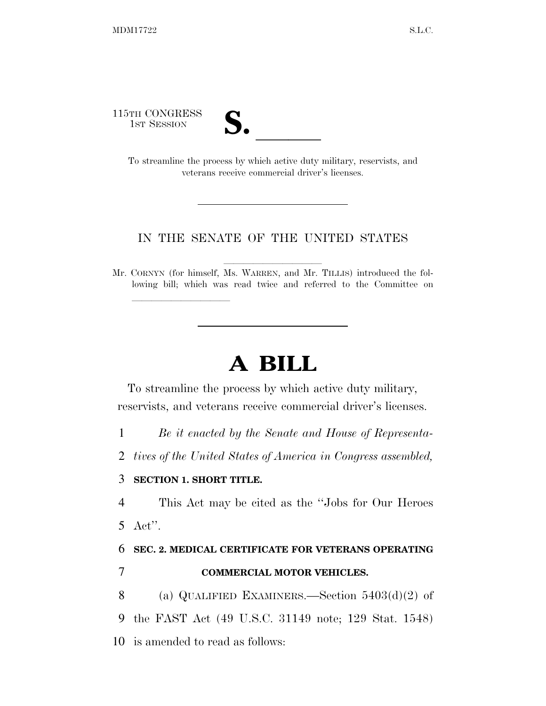115TH CONGRESS



TH CONGRESS<br>
1st Session<br>
To streamline the process by which active duty military, reservists, and veterans receive commercial driver's licenses.

## IN THE SENATE OF THE UNITED STATES

Mr. CORNYN (for himself, Ms. WARREN, and Mr. TILLIS) introduced the following bill; which was read twice and referred to the Committee on

## **A BILL**

To streamline the process by which active duty military, reservists, and veterans receive commercial driver's licenses.

1 *Be it enacted by the Senate and House of Representa-*

2 *tives of the United States of America in Congress assembled,* 

## 3 **SECTION 1. SHORT TITLE.**

lla se al constituir a la constituir a la constituir a la constituir a la constituir a la constituir a la cons<br>La constituir a la constituir a la constituir a la constituir a la constituir a la constituir a la constituir

4 This Act may be cited as the ''Jobs for Our Heroes 5 Act''.

6 **SEC. 2. MEDICAL CERTIFICATE FOR VETERANS OPERATING** 

7 **COMMERCIAL MOTOR VEHICLES.** 

8 (a) QUALIFIED EXAMINERS.—Section 5403(d)(2) of 9 the FAST Act (49 U.S.C. 31149 note; 129 Stat. 1548)

10 is amended to read as follows: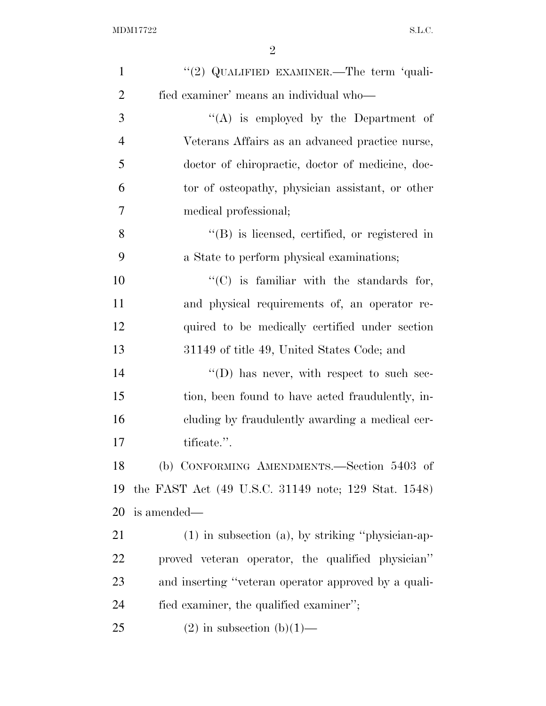| $\mathbf{1}$   | "(2) QUALIFIED EXAMINER.—The term 'quali-              |
|----------------|--------------------------------------------------------|
| $\overline{2}$ | fied examiner' means an individual who-                |
| 3              | "(A) is employed by the Department of                  |
| $\overline{4}$ | Veterans Affairs as an advanced practice nurse,        |
| 5              | doctor of chiropractic, doctor of medicine, doc-       |
| 6              | tor of osteopathy, physician assistant, or other       |
| $\overline{7}$ | medical professional;                                  |
| 8              | $\lq\lq$ is licensed, certified, or registered in      |
| 9              | a State to perform physical examinations;              |
| 10             | $\lq\lq$ (C) is familiar with the standards for,       |
| 11             | and physical requirements of, an operator re-          |
| 12             | quired to be medically certified under section         |
| 13             | 31149 of title 49, United States Code; and             |
| 14             | $\lq\lq$ (D) has never, with respect to such sec-      |
| 15             | tion, been found to have acted fraudulently, in-       |
| 16             | cluding by fraudulently awarding a medical cer-        |
| 17             | tificate.".                                            |
| 18             | (b) CONFORMING AMENDMENTS.—Section 5403 of             |
| 19             | the FAST Act (49 U.S.C. 31149 note; 129 Stat. 1548)    |
| 20             | is amended—                                            |
| 21             | $(1)$ in subsection $(a)$ , by striking "physician-ap- |
| 22             | proved veteran operator, the qualified physician"      |
| 23             | and inserting "veteran operator approved by a quali-   |
| 24             | fied examiner, the qualified examiner";                |
| 25             | $(2)$ in subsection $(b)(1)$ —                         |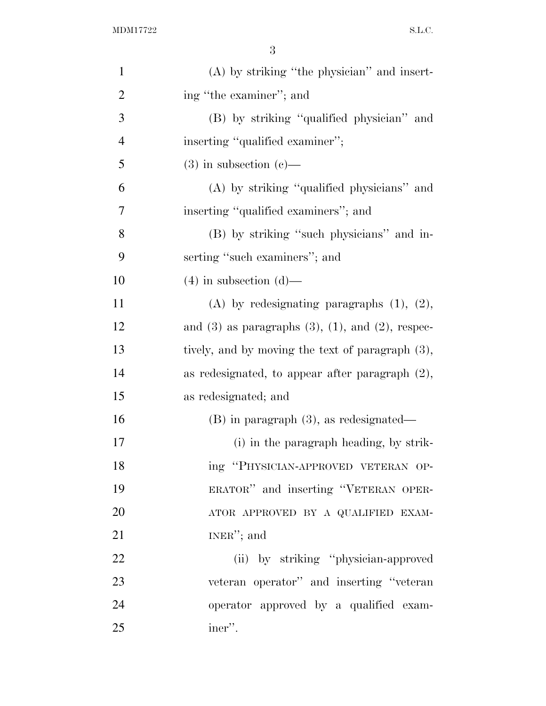| $\mathbf{1}$   | $(A)$ by striking "the physician" and insert-               |
|----------------|-------------------------------------------------------------|
| $\overline{2}$ | ing "the examiner"; and                                     |
| 3              | (B) by striking "qualified physician" and                   |
| $\overline{4}$ | inserting "qualified examiner";                             |
| 5              | $(3)$ in subsection $(e)$ —                                 |
| 6              | (A) by striking "qualified physicians" and                  |
| 7              | inserting "qualified examiners"; and                        |
| 8              | (B) by striking "such physicians" and in-                   |
| 9              | serting "such examiners"; and                               |
| 10             | $(4)$ in subsection $(d)$ —                                 |
| 11             | (A) by redesignating paragraphs $(1)$ , $(2)$ ,             |
| 12             | and $(3)$ as paragraphs $(3)$ , $(1)$ , and $(2)$ , respec- |
| 13             | tively, and by moving the text of paragraph (3),            |
| 14             | as redesignated, to appear after paragraph $(2)$ ,          |
| 15             | as redesignated; and                                        |
| 16             | $(B)$ in paragraph $(3)$ , as redesignated—                 |
| 17             | (i) in the paragraph heading, by strik-                     |
| 18             | ing "PHYSICIAN-APPROVED VETERAN OP-                         |
| 19             | ERATOR" and inserting "VETERAN OPER-                        |
| 20             | ATOR APPROVED BY A QUALIFIED EXAM-                          |
| 21             | $INER''$ ; and                                              |
| 22             | (ii) by striking "physician-approved                        |
| 23             | veteran operator" and inserting "veteran                    |
| 24             | operator approved by a qualified exam-                      |
| 25             | iner".                                                      |